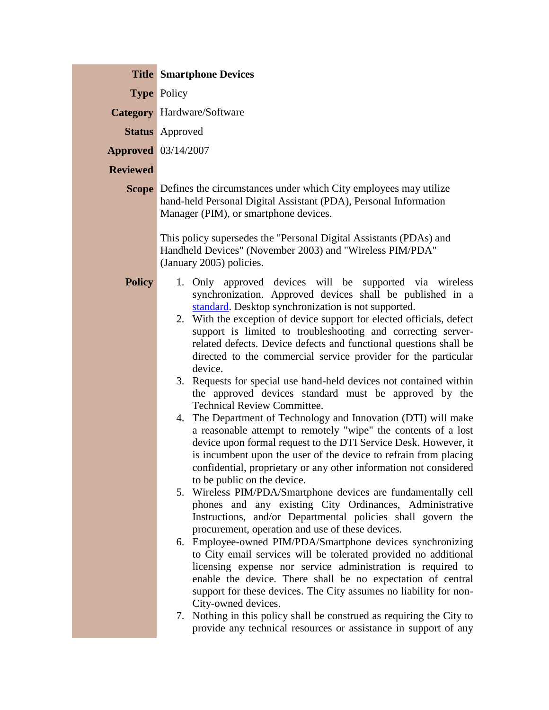|                 | <b>Title Smartphone Devices</b>                                                                                                                                                                                                                                                                                                                                                                                                                                                                                                                                                                                                                                                                                                                                                                                                                                                                                                                                                                                                                                                                                                                                                                                                                                                                                                                                                                                                                                                                                                                                                                                                                                                                                                                                                  |
|-----------------|----------------------------------------------------------------------------------------------------------------------------------------------------------------------------------------------------------------------------------------------------------------------------------------------------------------------------------------------------------------------------------------------------------------------------------------------------------------------------------------------------------------------------------------------------------------------------------------------------------------------------------------------------------------------------------------------------------------------------------------------------------------------------------------------------------------------------------------------------------------------------------------------------------------------------------------------------------------------------------------------------------------------------------------------------------------------------------------------------------------------------------------------------------------------------------------------------------------------------------------------------------------------------------------------------------------------------------------------------------------------------------------------------------------------------------------------------------------------------------------------------------------------------------------------------------------------------------------------------------------------------------------------------------------------------------------------------------------------------------------------------------------------------------|
|                 | <b>Type Policy</b>                                                                                                                                                                                                                                                                                                                                                                                                                                                                                                                                                                                                                                                                                                                                                                                                                                                                                                                                                                                                                                                                                                                                                                                                                                                                                                                                                                                                                                                                                                                                                                                                                                                                                                                                                               |
|                 | <b>Category</b> Hardware/Software                                                                                                                                                                                                                                                                                                                                                                                                                                                                                                                                                                                                                                                                                                                                                                                                                                                                                                                                                                                                                                                                                                                                                                                                                                                                                                                                                                                                                                                                                                                                                                                                                                                                                                                                                |
|                 | <b>Status</b> Approved                                                                                                                                                                                                                                                                                                                                                                                                                                                                                                                                                                                                                                                                                                                                                                                                                                                                                                                                                                                                                                                                                                                                                                                                                                                                                                                                                                                                                                                                                                                                                                                                                                                                                                                                                           |
|                 | <b>Approved</b> 03/14/2007                                                                                                                                                                                                                                                                                                                                                                                                                                                                                                                                                                                                                                                                                                                                                                                                                                                                                                                                                                                                                                                                                                                                                                                                                                                                                                                                                                                                                                                                                                                                                                                                                                                                                                                                                       |
| <b>Reviewed</b> |                                                                                                                                                                                                                                                                                                                                                                                                                                                                                                                                                                                                                                                                                                                                                                                                                                                                                                                                                                                                                                                                                                                                                                                                                                                                                                                                                                                                                                                                                                                                                                                                                                                                                                                                                                                  |
|                 | <b>Scope</b> Defines the circumstances under which City employees may utilize<br>hand-held Personal Digital Assistant (PDA), Personal Information<br>Manager (PIM), or smartphone devices.<br>This policy supersedes the "Personal Digital Assistants (PDAs) and<br>Handheld Devices" (November 2003) and "Wireless PIM/PDA"<br>(January 2005) policies.                                                                                                                                                                                                                                                                                                                                                                                                                                                                                                                                                                                                                                                                                                                                                                                                                                                                                                                                                                                                                                                                                                                                                                                                                                                                                                                                                                                                                         |
| <b>Policy</b>   | 1. Only approved devices will be supported via wireless<br>synchronization. Approved devices shall be published in a<br>standard. Desktop synchronization is not supported.<br>2. With the exception of device support for elected officials, defect<br>support is limited to troubleshooting and correcting server-<br>related defects. Device defects and functional questions shall be<br>directed to the commercial service provider for the particular<br>device.<br>3. Requests for special use hand-held devices not contained within<br>the approved devices standard must be approved by the<br><b>Technical Review Committee.</b><br>4. The Department of Technology and Innovation (DTI) will make<br>a reasonable attempt to remotely "wipe" the contents of a lost<br>device upon formal request to the DTI Service Desk. However, it<br>is incumbent upon the user of the device to refrain from placing<br>confidential, proprietary or any other information not considered<br>to be public on the device.<br>5. Wireless PIM/PDA/Smartphone devices are fundamentally cell<br>phones and any existing City Ordinances, Administrative<br>Instructions, and/or Departmental policies shall govern the<br>procurement, operation and use of these devices.<br>6. Employee-owned PIM/PDA/Smartphone devices synchronizing<br>to City email services will be tolerated provided no additional<br>licensing expense nor service administration is required to<br>enable the device. There shall be no expectation of central<br>support for these devices. The City assumes no liability for non-<br>City-owned devices.<br>7. Nothing in this policy shall be construed as requiring the City to<br>provide any technical resources or assistance in support of any |